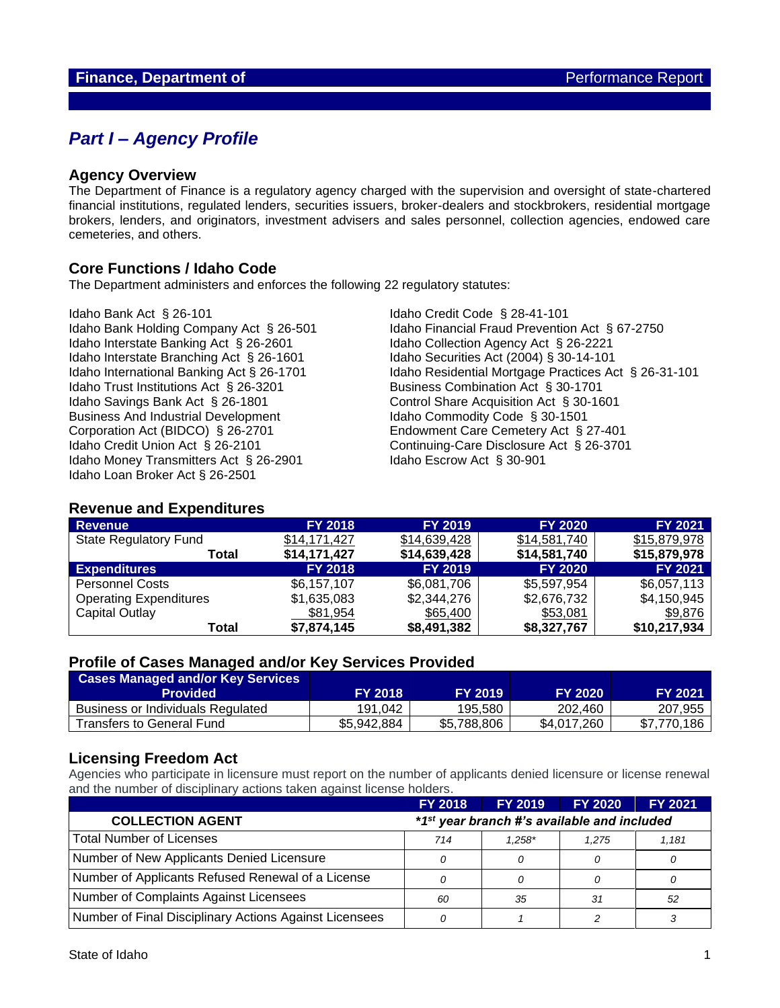## *Part I – Agency Profile*

### **Agency Overview**

The Department of Finance is a regulatory agency charged with the supervision and oversight of state-chartered financial institutions, regulated lenders, securities issuers, broker-dealers and stockbrokers, residential mortgage brokers, lenders, and originators, investment advisers and sales personnel, collection agencies, endowed care cemeteries, and others.

## **Core Functions / Idaho Code**

The Department administers and enforces the following 22 regulatory statutes:

Idaho Bank Act § 26-101 Idaho Credit Code § 28-41-101 Idaho Interstate Banking Act § 26-2601 Idaho Collection Agency Act § 26-2221 Idaho Interstate Branching Act § 26-1601 Idaho Securities Act (2004) § 30-14-101 Idaho Trust Institutions Act § 26-3201 Business Combination Act § 30-1701 Idaho Savings Bank Act § 26-1801 Control Share Acquisition Act § 30-1601 Business And Industrial Development<br>
Corporation Act (BIDCO) § 26-2701 Endowment Care Cemetery Act § 2 Idaho Credit Union Act § 26-2101 Continuing-Care Disclosure Act § 26-3701 Idaho Money Transmitters Act § 26-2901 Idaho Escrow Act § 30-901 Idaho Loan Broker Act § 26-2501

Idaho Bank Holding Company Act § 26-501 Idaho Financial Fraud Prevention Act § 67-2750 Idaho International Banking Act § 26-1701 Idaho Residential Mortgage Practices Act § 26-31-101 Endowment Care Cemetery Act § 27-401

### **Revenue and Expenditures**

| <b>Revenue</b>                | <b>FY 2018</b> | <b>FY 2019</b> | <b>FY 2020</b> | <b>FY 2021</b> |
|-------------------------------|----------------|----------------|----------------|----------------|
| <b>State Regulatory Fund</b>  | \$14,171,427   | \$14,639,428   | \$14,581,740   | \$15,879,978   |
| Total                         | \$14,171,427   | \$14,639,428   | \$14,581,740   | \$15,879,978   |
| <b>Expenditures</b>           | <b>FY 2018</b> | <b>FY 2019</b> | <b>FY 2020</b> | <b>FY 2021</b> |
| <b>Personnel Costs</b>        | \$6,157,107    | \$6,081,706    | \$5,597,954    | \$6,057,113    |
| <b>Operating Expenditures</b> | \$1,635,083    | \$2,344,276    | \$2,676,732    | \$4,150,945    |
| Capital Outlay                | \$81,954       | \$65,400       | \$53,081       | \$9,876        |
| Total                         | \$7,874,145    | \$8,491,382    | \$8,327,767    | \$10,217,934   |

### **Profile of Cases Managed and/or Key Services Provided**

| <b>Cases Managed and/or Key Services</b><br><b>Provided</b> | <b>FY 2018</b> | <b>FY 2019</b> | <b>FY 2020</b> | <b>FY 2021</b> |
|-------------------------------------------------------------|----------------|----------------|----------------|----------------|
| Business or Individuals Regulated                           | 191.042        | 195.580        | 202.460        | 207,955        |
| Transfers to General Fund                                   | \$5,942,884    | \$5,788,806    | \$4.017.260    | \$7,770,186    |

## **Licensing Freedom Act**

Agencies who participate in licensure must report on the number of applicants denied licensure or license renewal and the number of disciplinary actions taken against license holders.

|                                                        | <b>FY 2018</b>                                          | <b>FY 2019</b> | <b>FY 2020</b> | <b>FY 2021</b> |
|--------------------------------------------------------|---------------------------------------------------------|----------------|----------------|----------------|
| <b>COLLECTION AGENT</b>                                | *1 <sup>st</sup> year branch #'s available and included |                |                |                |
| Total Number of Licenses                               | 714                                                     | $1.258*$       | 1.275          | 1.181          |
| Number of New Applicants Denied Licensure              |                                                         | 0              |                |                |
| Number of Applicants Refused Renewal of a License      |                                                         | $\Omega$       |                |                |
| Number of Complaints Against Licensees                 | 60                                                      | -35            | 31             | -52            |
| Number of Final Disciplinary Actions Against Licensees |                                                         |                |                |                |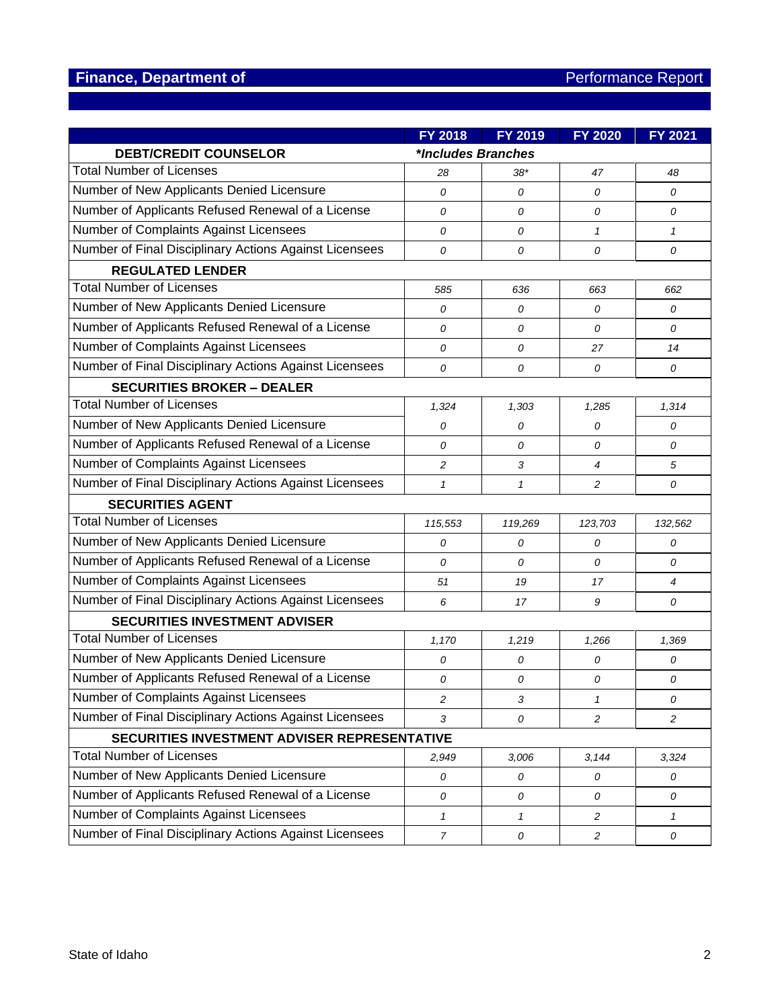|                                                        | FY 2018            | FY 2019      | <b>FY 2020</b> | <b>FY 2021</b> |
|--------------------------------------------------------|--------------------|--------------|----------------|----------------|
| <b>DEBT/CREDIT COUNSELOR</b>                           | *Includes Branches |              |                |                |
| <b>Total Number of Licenses</b>                        | 28                 | $38*$        | 47             | 48             |
| Number of New Applicants Denied Licensure              | 0                  | 0            | $\overline{O}$ | 0              |
| Number of Applicants Refused Renewal of a License      | 0                  | 0            | 0              | 0              |
| Number of Complaints Against Licensees                 | 0                  | 0            | $\mathbf{1}$   | $\mathbf{1}$   |
| Number of Final Disciplinary Actions Against Licensees | 0                  | 0            | $\mathcal{O}$  | 0              |
| <b>REGULATED LENDER</b>                                |                    |              |                |                |
| <b>Total Number of Licenses</b>                        | 585                | 636          | 663            | 662            |
| Number of New Applicants Denied Licensure              | 0                  | 0            | 0              | 0              |
| Number of Applicants Refused Renewal of a License      | 0                  | 0            | $\overline{O}$ | 0              |
| Number of Complaints Against Licensees                 | 0                  | 0            | 27             | 14             |
| Number of Final Disciplinary Actions Against Licensees | 0                  | 0            | 0              | 0              |
| <b>SECURITIES BROKER - DEALER</b>                      |                    |              |                |                |
| <b>Total Number of Licenses</b>                        | 1,324              | 1,303        | 1,285          | 1,314          |
| Number of New Applicants Denied Licensure              | 0                  | 0            | 0              | 0              |
| Number of Applicants Refused Renewal of a License      | $\mathcal{O}$      | 0            | 0              | 0              |
| Number of Complaints Against Licensees                 | 2                  | 3            | $\overline{4}$ | 5              |
| Number of Final Disciplinary Actions Against Licensees | $\mathbf{1}$       | $\mathbf{1}$ | 2              | 0              |
| <b>SECURITIES AGENT</b>                                |                    |              |                |                |
| <b>Total Number of Licenses</b>                        | 115,553            | 119,269      | 123,703        | 132,562        |
| Number of New Applicants Denied Licensure              | 0                  | 0            | 0              | 0              |
| Number of Applicants Refused Renewal of a License      | 0                  | 0            | 0              | 0              |
| Number of Complaints Against Licensees                 | 51                 | 19           | 17             | 4              |
| Number of Final Disciplinary Actions Against Licensees | 6                  | 17           | 9              | 0              |
| <b>SECURITIES INVESTMENT ADVISER</b>                   |                    |              |                |                |
| <b>Total Number of Licenses</b>                        | 1,170              | 1,219        | 1,266          | 1,369          |
| Number of New Applicants Denied Licensure              | 0                  | 0            | 0              | 0              |
| Number of Applicants Refused Renewal of a License      | 0                  | 0            | 0              | 0              |
| Number of Complaints Against Licensees                 | $\overline{c}$     | 3            | $\mathbf{1}$   | 0              |
| Number of Final Disciplinary Actions Against Licensees | 3                  | 0            | $\overline{c}$ | $\overline{c}$ |
| SECURITIES INVESTMENT ADVISER REPRESENTATIVE           |                    |              |                |                |
| <b>Total Number of Licenses</b>                        | 2,949              | 3,006        | 3,144          | 3,324          |
| Number of New Applicants Denied Licensure              | 0                  | 0            | 0              | 0              |
| Number of Applicants Refused Renewal of a License      | 0                  | 0            | 0              | 0              |
| Number of Complaints Against Licensees                 | $\mathbf{1}$       | $\mathbf{1}$ | $\overline{c}$ | $\mathcal I$   |
| Number of Final Disciplinary Actions Against Licensees | $\overline{7}$     | 0            | $\overline{c}$ | 0              |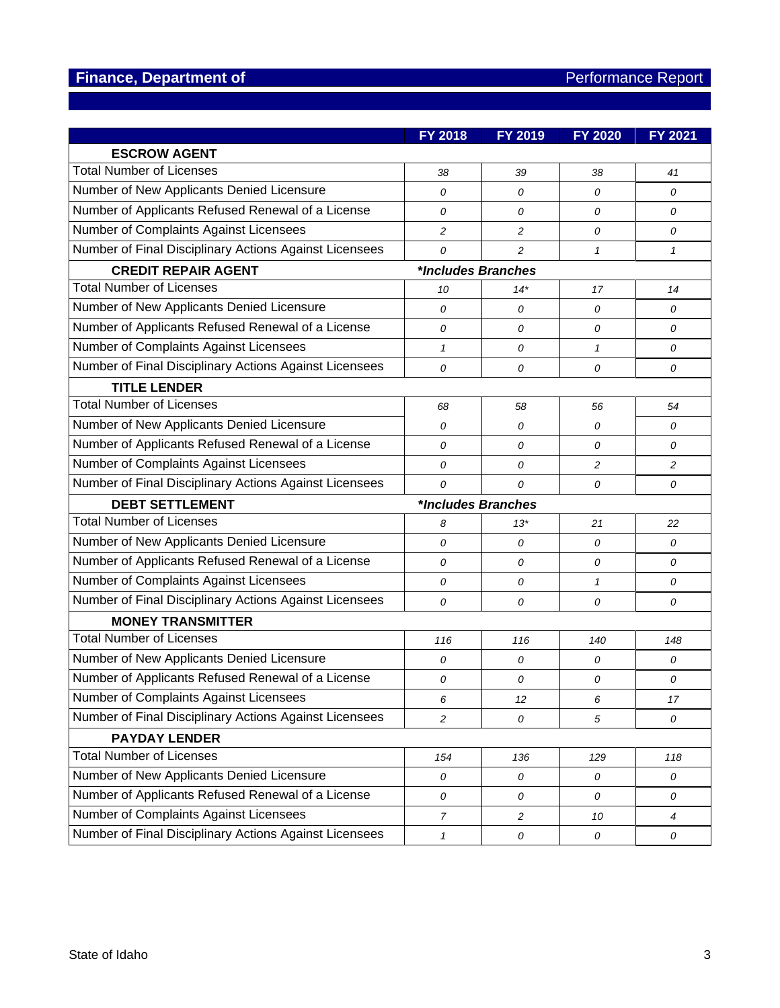|                                                        | <b>FY 2018</b>      | FY 2019        | <b>FY 2020</b> | <b>FY 2021</b> |
|--------------------------------------------------------|---------------------|----------------|----------------|----------------|
| <b>ESCROW AGENT</b>                                    |                     |                |                |                |
| <b>Total Number of Licenses</b>                        | 38                  | 39             | 38             | 41             |
| Number of New Applicants Denied Licensure              | $\overline{O}$      | 0              | 0              | 0              |
| Number of Applicants Refused Renewal of a License      | 0                   | 0              | 0              | 0              |
| Number of Complaints Against Licensees                 | $\overline{c}$      | $\overline{c}$ | 0              | 0              |
| Number of Final Disciplinary Actions Against Licensees | 0                   | 2              | $\mathbf{1}$   | $\mathbf{1}$   |
| <b>CREDIT REPAIR AGENT</b>                             | *Includes Branches  |                |                |                |
| <b>Total Number of Licenses</b>                        | 10                  | $14*$          | 17             | 14             |
| Number of New Applicants Denied Licensure              | 0                   | 0              | 0              | 0              |
| Number of Applicants Refused Renewal of a License      | 0                   | 0              | 0              | 0              |
| Number of Complaints Against Licensees                 | $\mathbf{1}$        | 0              | $\mathbf{1}$   | 0              |
| Number of Final Disciplinary Actions Against Licensees | 0                   | 0              | 0              | 0              |
| <b>TITLE LENDER</b>                                    |                     |                |                |                |
| <b>Total Number of Licenses</b>                        | 68                  | 58             | 56             | 54             |
| Number of New Applicants Denied Licensure              | 0                   | 0              | 0              | 0              |
| Number of Applicants Refused Renewal of a License      | 0                   | 0              | 0              | 0              |
| Number of Complaints Against Licensees                 | 0                   | 0              | $\overline{c}$ | $\overline{c}$ |
| Number of Final Disciplinary Actions Against Licensees | 0                   | 0              | 0              | 0              |
| <b>DEBT SETTLEMENT</b>                                 | *Includes Branches  |                |                |                |
| <b>Total Number of Licenses</b>                        | 8                   | $13*$          | 21             | 22             |
| Number of New Applicants Denied Licensure              | $\overline{O}$      | 0              | 0              | 0              |
| Number of Applicants Refused Renewal of a License      | 0                   | 0              | 0              | 0              |
| Number of Complaints Against Licensees                 | 0                   | 0              | $\mathbf{1}$   | 0              |
| Number of Final Disciplinary Actions Against Licensees | 0                   | 0              | 0              | 0              |
| <b>MONEY TRANSMITTER</b>                               |                     |                |                |                |
| <b>Total Number of Licenses</b>                        | 116                 | 116            | 140            | 148            |
| Number of New Applicants Denied Licensure              | 0                   | 0              | 0              | 0              |
| Number of Applicants Refused Renewal of a License      | 0                   | 0              | 0              | 0              |
| Number of Complaints Against Licensees                 | 6                   | 12             | 6              | 17             |
| Number of Final Disciplinary Actions Against Licensees | $\overline{c}$      | 0              | 5              | 0              |
| <b>PAYDAY LENDER</b>                                   |                     |                |                |                |
| <b>Total Number of Licenses</b>                        | 154                 | 136            | 129            | 118            |
| Number of New Applicants Denied Licensure              | 0                   | 0              | 0              | 0              |
| Number of Applicants Refused Renewal of a License      | 0                   | 0              | 0              | 0              |
| Number of Complaints Against Licensees                 | $\overline{7}$      | $\overline{c}$ | 10             | 4              |
| Number of Final Disciplinary Actions Against Licensees | $\pmb{\mathcal{1}}$ | 0              | 0              | ${\cal O}$     |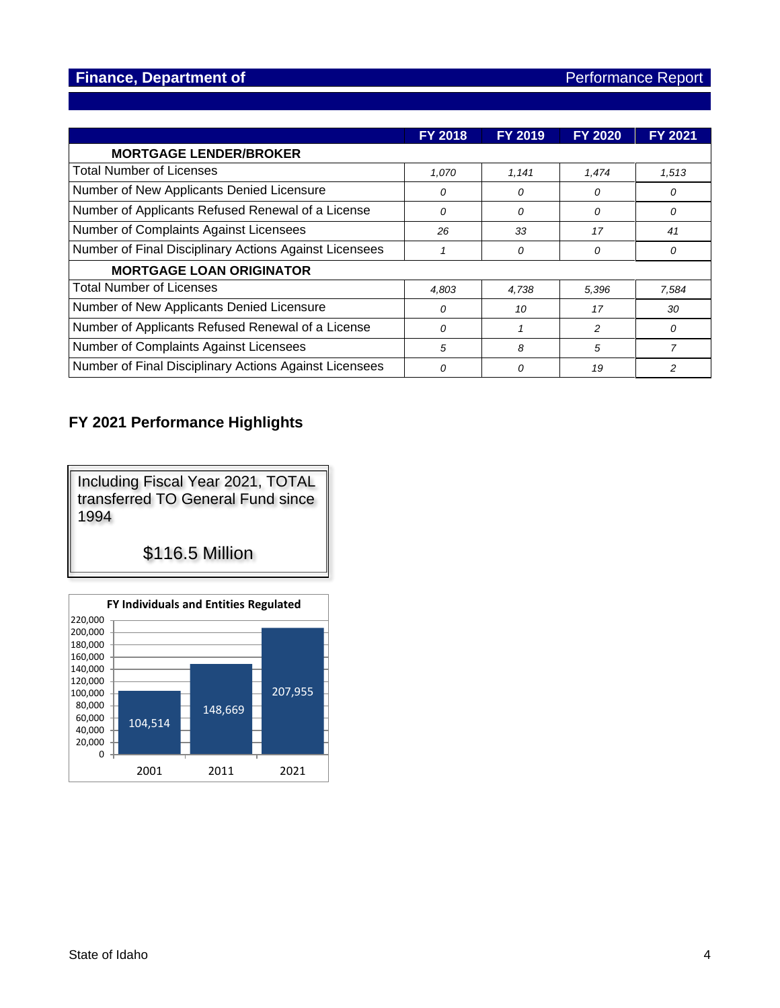|                                                        | <b>FY 2018</b> | <b>FY 2019</b> | <b>FY 2020</b> | <b>FY 2021</b> |
|--------------------------------------------------------|----------------|----------------|----------------|----------------|
| <b>MORTGAGE LENDER/BROKER</b>                          |                |                |                |                |
| <b>Total Number of Licenses</b>                        | 1,070          | 1,141          | 1,474          | 1,513          |
| Number of New Applicants Denied Licensure              | 0              | 0              | 0              | 0              |
| Number of Applicants Refused Renewal of a License      | 0              | 0              | 0              | 0              |
| Number of Complaints Against Licensees                 | 26             | 33             | 17             | 41             |
| Number of Final Disciplinary Actions Against Licensees |                | 0              | 0              | 0              |
| <b>MORTGAGE LOAN ORIGINATOR</b>                        |                |                |                |                |
| <b>Total Number of Licenses</b>                        | 4,803          | 4,738          | 5,396          | 7,584          |
| Number of New Applicants Denied Licensure              | 0              | 10             | 17             | 30             |
| Number of Applicants Refused Renewal of a License      | 0              |                | 2              | $\Omega$       |
| Number of Complaints Against Licensees                 | 5              | 8              | 5              | 7              |
| Number of Final Disciplinary Actions Against Licensees | 0              | $\Omega$       | 19             | 2              |

## **FY 2021 Performance Highlights**

Including Fiscal Year 2021, TOTAL transferred TO General Fund since 1994

\$116.5 Million